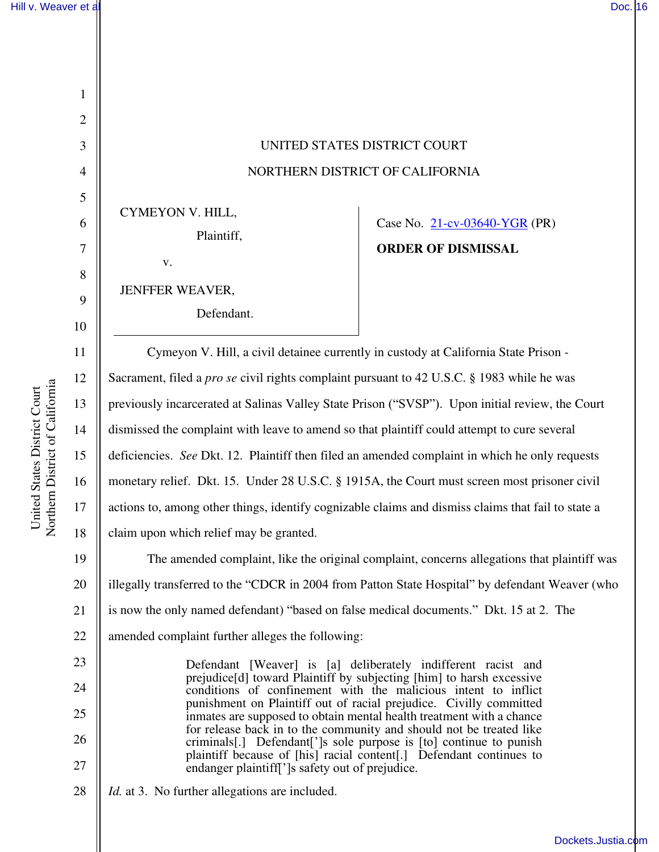1

2

3

4

5

6

7

8

9

10

11

12

13

14

15

16

17

18

23

24

25

26

27

## UNITED STATES DISTRICT COURT NORTHERN DISTRICT OF CALIFORNIA

CYMEYON V. HILL, Plaintiff,

v.

JENFFER WEAVER,

Defendant.

Case No. 21-cv-03640-YGR (PR) **ORDER OF DISMISSAL** 

Cymeyon V. Hill, a civil detainee currently in custody at California State Prison - Sacrament, filed a *pro se* civil rights complaint pursuant to 42 U.S.C. § 1983 while he was previously incarcerated at Salinas Valley State Prison ("SVSP"). Upon initial review, the Court dismissed the complaint with leave to amend so that plaintiff could attempt to cure several deficiencies. *See* Dkt. 12. Plaintiff then filed an amended complaint in which he only requests monetary relief. Dkt. 15. Under 28 U.S.C. § 1915A, the Court must screen most prisoner civil actions to, among other things, identify cognizable claims and dismiss claims that fail to state a claim upon which relief may be granted.

19 20 21 22 The amended complaint, like the original complaint, concerns allegations that plaintiff was illegally transferred to the "CDCR in 2004 from Patton State Hospital" by defendant Weaver (who is now the only named defendant) "based on false medical documents." Dkt. 15 at 2. The amended complaint further alleges the following:

> Defendant [Weaver] is [a] deliberately indifferent racist and prejudice[d] toward Plaintiff by subjecting [him] to harsh excessive conditions of confinement with the malicious intent to inflict punishment on Plaintiff out of racial prejudice. Civilly committed inmates are supposed to obtain mental health treatment with a chance for release back in to the community and should not be treated like criminals[.] Defendant[']s sole purpose is [to] continue to punish plaintiff because of [his] racial content[.] Defendant continues to endanger plaintiff[']s safety out of prejudice.

28 *Id.* at 3. No further allegations are included.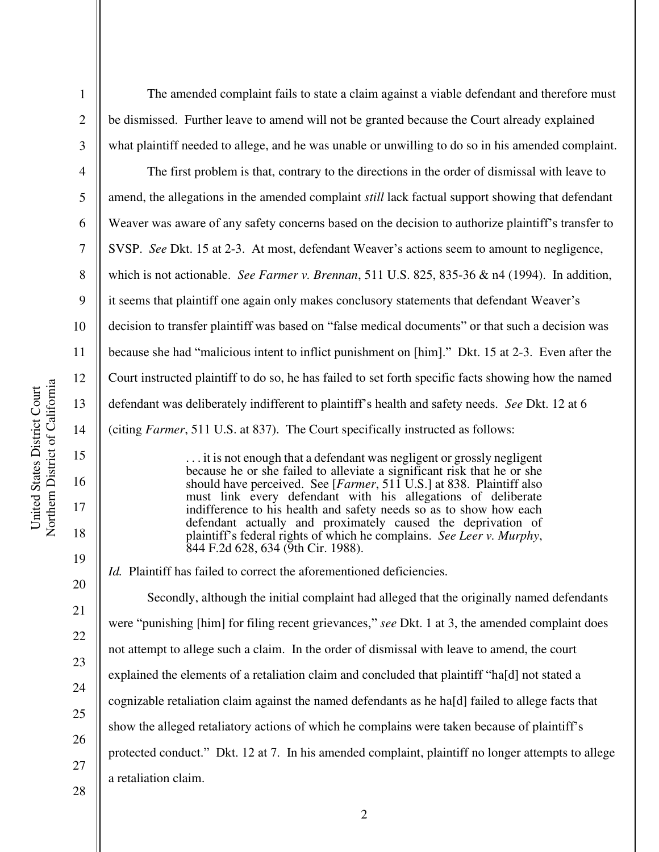1

2

3

4

5

6

7

8

9

10

11

12

13

14

15

16

17

18

19

20

21

22

23

24

25

26

27

The amended complaint fails to state a claim against a viable defendant and therefore must be dismissed. Further leave to amend will not be granted because the Court already explained what plaintiff needed to allege, and he was unable or unwilling to do so in his amended complaint.

The first problem is that, contrary to the directions in the order of dismissal with leave to amend, the allegations in the amended complaint *still* lack factual support showing that defendant Weaver was aware of any safety concerns based on the decision to authorize plaintiff's transfer to SVSP. *See* Dkt. 15 at 2-3. At most, defendant Weaver's actions seem to amount to negligence, which is not actionable. *See Farmer v. Brennan*, 511 U.S. 825, 835-36 & n4 (1994). In addition, it seems that plaintiff one again only makes conclusory statements that defendant Weaver's decision to transfer plaintiff was based on "false medical documents" or that such a decision was because she had "malicious intent to inflict punishment on [him]." Dkt. 15 at 2-3. Even after the Court instructed plaintiff to do so, he has failed to set forth specific facts showing how the named defendant was deliberately indifferent to plaintiff's health and safety needs. *See* Dkt. 12 at 6 (citing *Farmer*, 511 U.S. at 837). The Court specifically instructed as follows:

> . . . it is not enough that a defendant was negligent or grossly negligent because he or she failed to alleviate a significant risk that he or she should have perceived. See [*Farmer*, 511 U.S.] at 838. Plaintiff also must link every defendant with his allegations of deliberate indifference to his health and safety needs so as to show how each defendant actually and proximately caused the deprivation of plaintiff's federal rights of which he complains. *See Leer v. Murphy*, 844 F.2d 628, 634 (9th Cir. 1988).

*Id.* Plaintiff has failed to correct the aforementioned deficiencies.

Secondly, although the initial complaint had alleged that the originally named defendants were "punishing [him] for filing recent grievances," *see* Dkt. 1 at 3, the amended complaint does not attempt to allege such a claim. In the order of dismissal with leave to amend, the court explained the elements of a retaliation claim and concluded that plaintiff "ha[d] not stated a cognizable retaliation claim against the named defendants as he ha[d] failed to allege facts that show the alleged retaliatory actions of which he complains were taken because of plaintiff's protected conduct." Dkt. 12 at 7. In his amended complaint, plaintiff no longer attempts to allege a retaliation claim.

28